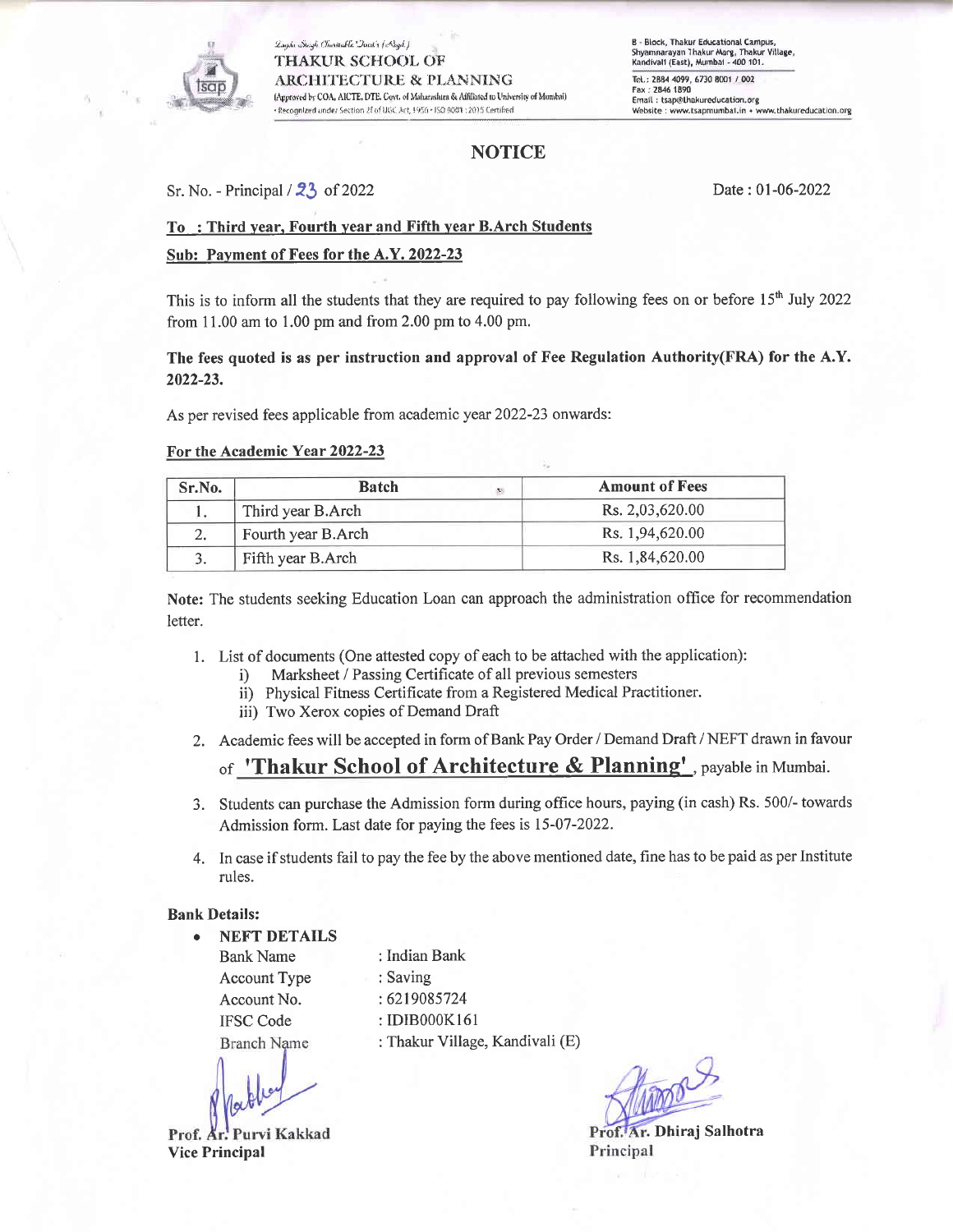

Lagda Saigh Charitable Davit's (Asyd.) **THAKUR SCHOOL OF ARCHITECTURE & PLANNING** (Approved by COA, AICTE, DTE, Covt. of Maharashtra & Affiliated to University of Mumbai) · Recognized under Section 2E of UGC Art, 1956 · ISO 9081 : 2015 Certified

# **NOTICE**

Sr. No. - Principal  $/23$  of 2022

Date: 01-06-2022

## To: Third year, Fourth year and Fifth year B. Arch Students

## Sub: Payment of Fees for the A.Y. 2022-23

This is to inform all the students that they are required to pay following fees on or before 15<sup>th</sup> July 2022 from 11.00 am to 1.00 pm and from 2.00 pm to 4.00 pm.

## The fees quoted is as per instruction and approval of Fee Regulation Authority(FRA) for the A.Y. 2022-23.

As per revised fees applicable from academic year 2022-23 onwards:

#### For the Academic Year 2022-23

| Sr.No. | <b>Batch</b><br>$\mathbf{t}$ | <b>Amount of Fees</b> |  |  |  |  |  |
|--------|------------------------------|-----------------------|--|--|--|--|--|
|        | Third year B.Arch            | Rs. 2,03,620.00       |  |  |  |  |  |
| 2.     | Fourth year B.Arch           | Rs. 1.94,620.00       |  |  |  |  |  |
|        | Fifth year B.Arch            | Rs. 1,84,620.00       |  |  |  |  |  |

Note: The students seeking Education Loan can approach the administration office for recommendation letter.

- 1. List of documents (One attested copy of each to be attached with the application):
	- Marksheet / Passing Certificate of all previous semesters  $i)$
	- ii) Physical Fitness Certificate from a Registered Medical Practitioner.
	- iii) Two Xerox copies of Demand Draft
- 2. Academic fees will be accepted in form of Bank Pay Order / Demand Draft / NEFT drawn in favour

# of 'Thakur School of Architecture & Planning', payable in Mumbai.

- 3. Students can purchase the Admission form during office hours, paying (in cash) Rs. 500/- towards Admission form. Last date for paying the fees is 15-07-2022.
- 4. In case if students fail to pay the fee by the above mentioned date, fine has to be paid as per Institute rules.

#### **Bank Details:**

**NEFT DETAILS Bank Name Account Type** Account No. **IFSC Code Branch Name** 

Purvi Kakkad Prof. Ar. **Vice Principal** 

: Indian Bank : Saving : 6219085724 : IDIB000K161 : Thakur Village, Kandivali (E)

Ar. Dhiraj Salhotra Principal